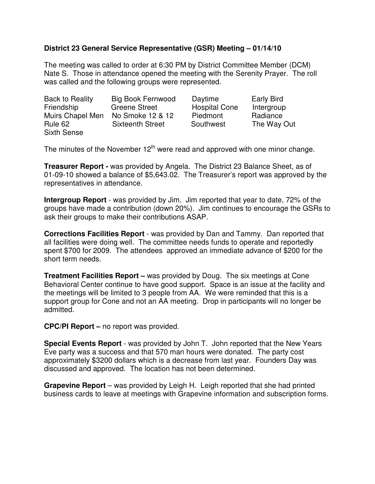## **District 23 General Service Representative (GSR) Meeting – 01/14/10**

The meeting was called to order at 6:30 PM by District Committee Member (DCM) Nate S. Those in attendance opened the meeting with the Serenity Prayer. The roll was called and the following groups were represented.

| Back to Reality    | <b>Big Book Fernwood</b> | Daytime              | <b>Early Bird</b> |
|--------------------|--------------------------|----------------------|-------------------|
| Friendship         | <b>Greene Street</b>     | <b>Hospital Cone</b> | Intergroup        |
| Muirs Chapel Men   | No Smoke 12 & 12         | Piedmont             | Radiance          |
| Rule 62            | <b>Sixteenth Street</b>  | Southwest            | The Way Out       |
| <b>Sixth Sense</b> |                          |                      |                   |

The minutes of the November  $12<sup>th</sup>$  were read and approved with one minor change.

**Treasurer Report -** was provided by Angela. The District 23 Balance Sheet, as of 01-09-10 showed a balance of \$5,643.02. The Treasurer's report was approved by the representatives in attendance.

**Intergroup Report** - was provided by Jim. Jim reported that year to date, 72% of the groups have made a contribution (down 20%). Jim continues to encourage the GSRs to ask their groups to make their contributions ASAP.

**Corrections Facilities Report** - was provided by Dan and Tammy. Dan reported that all facilities were doing well. The committee needs funds to operate and reportedly spent \$700 for 2009. The attendees approved an immediate advance of \$200 for the short term needs.

**Treatment Facilities Report –** was provided by Doug. The six meetings at Cone Behavioral Center continue to have good support. Space is an issue at the facility and the meetings will be limited to 3 people from AA. We were reminded that this is a support group for Cone and not an AA meeting. Drop in participants will no longer be admitted.

**CPC/PI Report –** no report was provided.

**Special Events Report** - was provided by John T. John reported that the New Years Eve party was a success and that 570 man hours were donated. The party cost approximately \$3200 dollars which is a decrease from last year. Founders Day was discussed and approved. The location has not been determined.

**Grapevine Report** – was provided by Leigh H. Leigh reported that she had printed business cards to leave at meetings with Grapevine information and subscription forms.